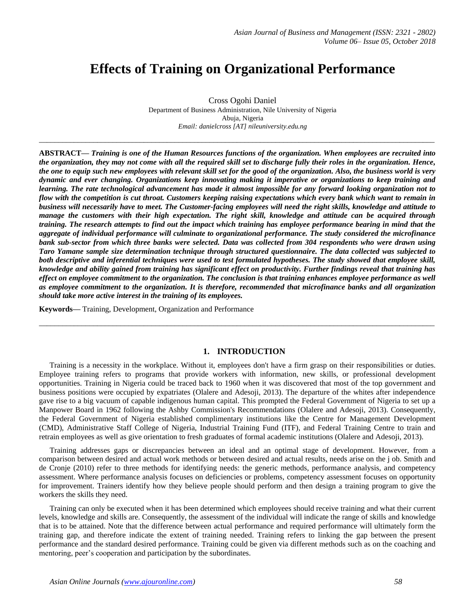# **Effects of Training on Organizational Performance**

Cross Ogohi Daniel Department of Business Administration, Nile University of Nigeria Abuja, Nigeria *Email: danielcross [AT] nileuniversity.edu.ng*

*\_\_\_\_\_\_\_\_\_\_\_\_\_\_\_\_\_\_\_\_\_\_\_\_\_\_\_\_\_\_\_\_\_\_\_\_\_\_\_\_\_\_\_\_\_\_\_\_\_\_\_\_\_\_\_\_\_\_\_\_\_\_\_\_\_\_\_\_\_\_\_\_\_\_\_\_\_\_\_\_\_\_\_\_\_\_\_\_\_\_\_\_\_\_\_\_\_\_\_\_\_\_*

**ABSTRACT—** *Training is one of the Human Resources functions of the organization. When employees are recruited into the organization, they may not come with all the required skill set to discharge fully their roles in the organization. Hence, the one to equip such new employees with relevant skill set for the good of the organization. Also, the business world is very dynamic and ever changing. Organizations keep innovating making it imperative or organizations to keep training and learning. The rate technological advancement has made it almost impossible for any forward looking organization not to flow with the competition is cut throat. Customers keeping raising expectations which every bank which want to remain in business will necessarily have to meet. The Customer-facing employees will need the right skills, knowledge and attitude to manage the customers with their high expectation. The right skill, knowledge and attitude can be acquired through training. The research attempts to find out the impact which training has employee performance bearing in mind that the aggregate of individual performance will culminate to organizational performance. The study considered the microfinance bank sub-sector from which three banks were selected. Data was collected from 304 respondents who were drawn using Taro Yamane sample size determination technique through structured questionnaire. The data collected was subjected to both descriptive and inferential techniques were used to test formulated hypotheses. The study showed that employee skill, knowledge and ability gained from training has significant effect on productivity. Further findings reveal that training has effect on employee commitment to the organization. The conclusion is that training enhances employee performance as well as employee commitment to the organization. It is therefore, recommended that microfinance banks and all organization should take more active interest in the training of its employees.* 

**Keywords—** Training, Development, Organization and Performance

## **1. INTRODUCTION**

*\_\_\_\_\_\_\_\_\_\_\_\_\_\_\_\_\_\_\_\_\_\_\_\_\_\_\_\_\_\_\_\_\_\_\_\_\_\_\_\_\_\_\_\_\_\_\_\_\_\_\_\_\_\_\_\_\_\_\_\_\_\_\_\_\_\_\_\_\_\_\_\_\_\_\_\_\_\_\_\_\_\_\_\_\_\_\_\_\_\_\_\_\_\_\_\_\_\_\_\_\_\_*

Training is a necessity in the workplace. Without it, employees don't have a firm grasp on their responsibilities or duties. Employee training refers to programs that provide workers with information, new skills, or professional development opportunities. Training in Nigeria could be traced back to 1960 when it was discovered that most of the top government and business positions were occupied by expatriates (Olalere and Adesoji, 2013). The departure of the whites after independence gave rise to a big vacuum of capable indigenous human capital. This prompted the Federal Government of Nigeria to set up a Manpower Board in 1962 following the Ashby Commission's Recommendations (Olalere and Adesoji, 2013). Consequently, the Federal Government of Nigeria established complimentary institutions like the Centre for Management Development (CMD), Administrative Staff College of Nigeria, Industrial Training Fund (ITF), and Federal Training Centre to train and retrain employees as well as give orientation to fresh graduates of formal academic institutions (Olalere and Adesoji, 2013).

Training addresses gaps or discrepancies between an ideal and an optimal stage of development. However, from a comparison between desired and actual work methods or between desired and actual results, needs arise on the j ob. Smith and de Cronje (2010) refer to three methods for identifying needs: the generic methods, performance analysis, and competency assessment. Where performance analysis focuses on deficiencies or problems, competency assessment focuses on opportunity for improvement. Trainers identify how they believe people should perform and then design a training program to give the workers the skills they need.

Training can only be executed when it has been determined which employees should receive training and what their current levels, knowledge and skills are. Consequently, the assessment of the individual will indicate the range of skills and knowledge that is to be attained. Note that the difference between actual performance and required performance will ultimately form the training gap, and therefore indicate the extent of training needed. Training refers to linking the gap between the present performance and the standard desired performance. Training could be given via different methods such as on the coaching and mentoring, peer's cooperation and participation by the subordinates.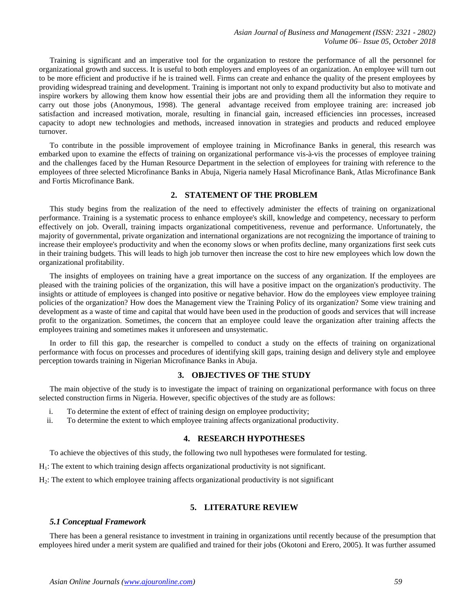Training is significant and an imperative tool for the organization to restore the performance of all the personnel for organizational growth and success. It is useful to both employers and employees of an organization. An employee will turn out to be more efficient and productive if he is trained well. Firms can create and enhance the quality of the present employees by providing widespread training and development. Training is important not only to expand productivity but also to motivate and inspire workers by allowing them know how essential their jobs are and providing them all the information they require to carry out those jobs (Anonymous, 1998). The general advantage received from employee training are: increased job satisfaction and increased motivation, morale, resulting in financial gain, increased efficiencies inn processes, increased capacity to adopt new technologies and methods, increased innovation in strategies and products and reduced employee turnover.

To contribute in the possible improvement of employee training in Microfinance Banks in general, this research was embarked upon to examine the effects of training on organizational performance vis-à-vis the processes of employee training and the challenges faced by the Human Resource Department in the selection of employees for training with reference to the employees of three selected Microfinance Banks in Abuja, Nigeria namely Hasal Microfinance Bank, Atlas Microfinance Bank and Fortis Microfinance Bank.

#### **2. STATEMENT OF THE PROBLEM**

This study begins from the realization of the need to effectively administer the effects of training on organizational performance. Training is a systematic process to enhance employee's skill, knowledge and competency, necessary to perform effectively on job. Overall, training impacts organizational competitiveness, revenue and performance. Unfortunately, the majority of governmental, private organization and international organizations are not recognizing the importance of training to increase their employee's productivity and when the economy slows or when profits decline, many organizations first seek cuts in their training budgets. This will leads to high job turnover then increase the cost to hire new employees which low down the organizational profitability.

The insights of employees on training have a great importance on the success of any organization. If the employees are pleased with the training policies of the organization, this will have a positive impact on the organization's productivity. The insights or attitude of employees is changed into positive or negative behavior. How do the employees view employee training policies of the organization? How does the Management view the Training Policy of its organization? Some view training and development as a waste of time and capital that would have been used in the production of goods and services that will increase profit to the organization. Sometimes, the concern that an employee could leave the organization after training affects the employees training and sometimes makes it unforeseen and unsystematic.

In order to fill this gap, the researcher is compelled to conduct a study on the effects of training on organizational performance with focus on processes and procedures of identifying skill gaps, training design and delivery style and employee perception towards training in Nigerian Microfinance Banks in Abuja.

#### **3. OBJECTIVES OF THE STUDY**

The main objective of the study is to investigate the impact of training on organizational performance with focus on three selected construction firms in Nigeria. However, specific objectives of the study are as follows:

- i. To determine the extent of effect of training design on employee productivity;
- ii. To determine the extent to which employee training affects organizational productivity.

#### **4. RESEARCH HYPOTHESES**

To achieve the objectives of this study, the following two null hypotheses were formulated for testing.

H1: The extent to which training design affects organizational productivity is not significant.

H2: The extent to which employee training affects organizational productivity is not significant

## **5. LITERATURE REVIEW**

#### *5.1 Conceptual Framework*

There has been a general resistance to investment in training in organizations until recently because of the presumption that employees hired under a merit system are qualified and trained for their jobs (Okotoni and Erero, 2005). It was further assumed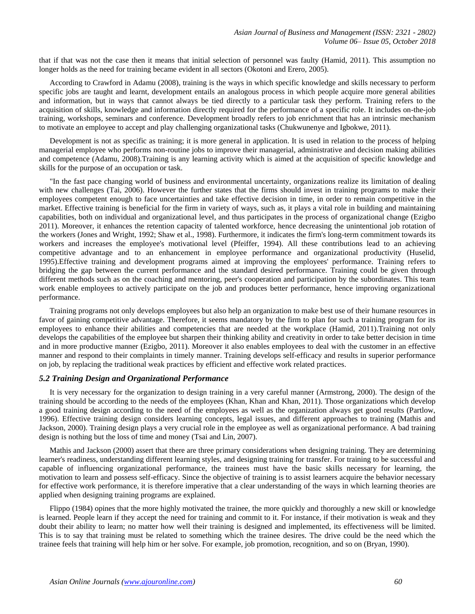that if that was not the case then it means that initial selection of personnel was faulty (Hamid, 2011). This assumption no longer holds as the need for training became evident in all sectors (Okotoni and Erero, 2005).

According to Crawford in Adamu (2008), training is the ways in which specific knowledge and skills necessary to perform specific jobs are taught and learnt, development entails an analogous process in which people acquire more general abilities and information, but in ways that cannot always be tied directly to a particular task they perform. Training refers to the acquisition of skills, knowledge and information directly required for the performance of a specific role. It includes on-the-job training, workshops, seminars and conference. Development broadly refers to job enrichment that has an intrinsic mechanism to motivate an employee to accept and play challenging organizational tasks (Chukwunenye and Igbokwe, 2011).

Development is not as specific as training; it is more general in application. It is used in relation to the process of helping managerial employee who performs non-routine jobs to improve their managerial, administrative and decision making abilities and competence (Adamu, 2008).Training is any learning activity which is aimed at the acquisition of specific knowledge and skills for the purpose of an occupation or task.

"In the fast pace changing world of business and environmental uncertainty, organizations realize its limitation of dealing with new challenges (Tai, 2006). However the further states that the firms should invest in training programs to make their employees competent enough to face uncertainties and take effective decision in time, in order to remain competitive in the market. Effective training is beneficial for the firm in variety of ways, such as, it plays a vital role in building and maintaining capabilities, both on individual and organizational level, and thus participates in the process of organizational change (Ezigbo 2011). Moreover, it enhances the retention capacity of talented workforce, hence decreasing the unintentional job rotation of the workers (Jones and Wright, 1992; Shaw et al., 1998). Furthermore, it indicates the firm's long-term commitment towards its workers and increases the employee's motivational level (Pfeiffer, 1994). All these contributions lead to an achieving competitive advantage and to an enhancement in employee performance and organizational productivity (Huselid, 1995).Effective training and development programs aimed at improving the employees' performance. Training refers to bridging the gap between the current performance and the standard desired performance. Training could be given through different methods such as on the coaching and mentoring, peer's cooperation and participation by the subordinates. This team work enable employees to actively participate on the job and produces better performance, hence improving organizational performance.

Training programs not only develops employees but also help an organization to make best use of their humane resources in favor of gaining competitive advantage. Therefore, it seems mandatory by the firm to plan for such a training program for its employees to enhance their abilities and competencies that are needed at the workplace (Hamid, 2011).Training not only develops the capabilities of the employee but sharpen their thinking ability and creativity in order to take better decision in time and in more productive manner (Ezigbo, 2011). Moreover it also enables employees to deal with the customer in an effective manner and respond to their complaints in timely manner. Training develops self-efficacy and results in superior performance on job, by replacing the traditional weak practices by efficient and effective work related practices.

#### *5.2 Training Design and Organizational Performance*

It is very necessary for the organization to design training in a very careful manner (Armstrong, 2000). The design of the training should be according to the needs of the employees (Khan, Khan and Khan, 2011). Those organizations which develop a good training design according to the need of the employees as well as the organization always get good results (Partlow, 1996). Effective training design considers learning concepts, legal issues, and different approaches to training (Mathis and Jackson, 2000). Training design plays a very crucial role in the employee as well as organizational performance. A bad training design is nothing but the loss of time and money (Tsai and Lin, 2007).

Mathis and Jackson (2000) assert that there are three primary considerations when designing training. They are determining learner's readiness, understanding different learning styles, and designing training for transfer. For training to be successful and capable of influencing organizational performance, the trainees must have the basic skills necessary for learning, the motivation to learn and possess self-efficacy. Since the objective of training is to assist learners acquire the behavior necessary for effective work performance, it is therefore imperative that a clear understanding of the ways in which learning theories are applied when designing training programs are explained.

Flippo (1984) opines that the more highly motivated the trainee, the more quickly and thoroughly a new skill or knowledge is learned. People learn if they accept the need for training and commit to it. For instance, if their motivation is weak and they doubt their ability to learn; no matter how well their training is designed and implemented, its effectiveness will be limited. This is to say that training must be related to something which the trainee desires. The drive could be the need which the trainee feels that training will help him or her solve. For example, job promotion, recognition, and so on (Bryan, 1990).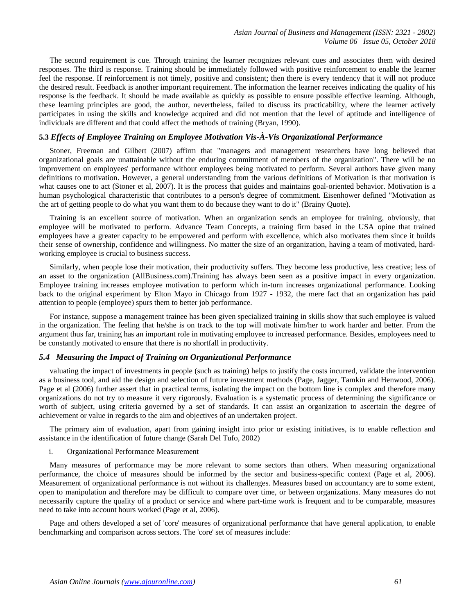The second requirement is cue. Through training the learner recognizes relevant cues and associates them with desired responses. The third is response. Training should be immediately followed with positive reinforcement to enable the learner feel the response. If reinforcement is not timely, positive and consistent; then there is every tendency that it will not produce the desired result. Feedback is another important requirement. The information the learner receives indicating the quality of his response is the feedback. It should be made available as quickly as possible to ensure possible effective learning. Although, these learning principles are good, the author, nevertheless, failed to discuss its practicability, where the learner actively participates in using the skills and knowledge acquired and did not mention that the level of aptitude and intelligence of individuals are different and that could affect the methods of training (Bryan, 1990).

## **5.3** *Effects of Employee Training on Employee Motivation Vis-À-Vis Organizational Performance*

Stoner, Freeman and Gilbert (2007) affirm that "managers and management researchers have long believed that organizational goals are unattainable without the enduring commitment of members of the organization". There will be no improvement on employees' performance without employees being motivated to perform. Several authors have given many definitions to motivation. However, a general understanding from the various definitions of Motivation is that motivation is what causes one to act (Stoner et al, 2007). It is the process that guides and maintains goal-oriented behavior. Motivation is a human psychological characteristic that contributes to a person's degree of commitment. Eisenhower defined "Motivation as the art of getting people to do what you want them to do because they want to do it" (Brainy Quote).

Training is an excellent source of motivation. When an organization sends an employee for training, obviously, that employee will be motivated to perform. Advance Team Concepts, a training firm based in the USA opine that trained employees have a greater capacity to be empowered and perform with excellence, which also motivates them since it builds their sense of ownership, confidence and willingness. No matter the size of an organization, having a team of motivated, hardworking employee is crucial to business success.

Similarly, when people lose their motivation, their productivity suffers. They become less productive, less creative; less of an asset to the organization (AllBusiness.com).Training has always been seen as a positive impact in every organization. Employee training increases employee motivation to perform which in-turn increases organizational performance. Looking back to the original experiment by Elton Mayo in Chicago from 1927 - 1932, the mere fact that an organization has paid attention to people (employee) spurs them to better job performance.

For instance, suppose a management trainee has been given specialized training in skills show that such employee is valued in the organization. The feeling that he/she is on track to the top will motivate him/her to work harder and better. From the argument thus far, training has an important role in motivating employee to increased performance. Besides, employees need to be constantly motivated to ensure that there is no shortfall in productivity.

#### *5.4 Measuring the Impact of Training on Organizational Performance*

valuating the impact of investments in people (such as training) helps to justify the costs incurred, validate the intervention as a business tool, and aid the design and selection of future investment methods (Page, Jagger, Tamkin and Henwood, 2006). Page et al (2006) further assert that in practical terms, isolating the impact on the bottom line is complex and therefore many organizations do not try to measure it very rigorously. Evaluation is a systematic process of determining the significance or worth of subject, using criteria governed by a set of standards. It can assist an organization to ascertain the degree of achievement or value in regards to the aim and objectives of an undertaken project.

The primary aim of evaluation, apart from gaining insight into prior or existing initiatives, is to enable reflection and assistance in the identification of future change (Sarah Del Tufo, 2002)

i. Organizational Performance Measurement

Many measures of performance may be more relevant to some sectors than others. When measuring organizational performance, the choice of measures should be informed by the sector and business-specific context (Page et al, 2006). Measurement of organizational performance is not without its challenges. Measures based on accountancy are to some extent, open to manipulation and therefore may be difficult to compare over time, or between organizations. Many measures do not necessarily capture the quality of a product or service and where part-time work is frequent and to be comparable, measures need to take into account hours worked (Page et al, 2006).

Page and others developed a set of 'core' measures of organizational performance that have general application, to enable benchmarking and comparison across sectors. The 'core' set of measures include: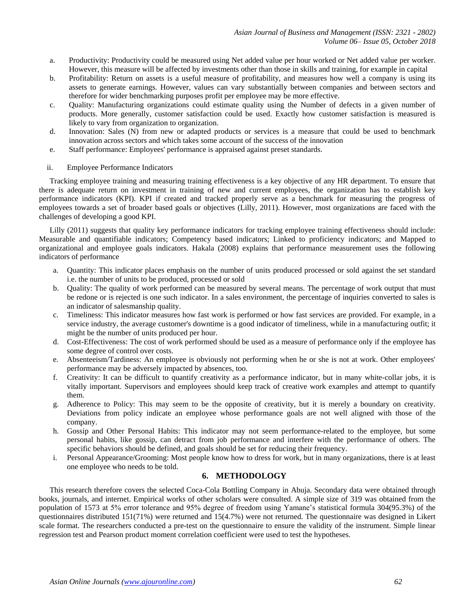- a. Productivity: Productivity could be measured using Net added value per hour worked or Net added value per worker. However, this measure will be affected by investments other than those in skills and training, for example in capital
- b. Profitability: Return on assets is a useful measure of profitability, and measures how well a company is using its assets to generate earnings. However, values can vary substantially between companies and between sectors and therefore for wider benchmarking purposes profit per employee may be more effective.
- c. Quality: Manufacturing organizations could estimate quality using the Number of defects in a given number of products. More generally, customer satisfaction could be used. Exactly how customer satisfaction is measured is likely to vary from organization to organization.
- d. Innovation: Sales (N) from new or adapted products or services is a measure that could be used to benchmark innovation across sectors and which takes some account of the success of the innovation
- e. Staff performance: Employees' performance is appraised against preset standards.
- ii. Employee Performance Indicators

Tracking employee training and measuring training effectiveness is a key objective of any HR department. To ensure that there is adequate return on investment in training of new and current employees, the organization has to establish key performance indicators (KPI). KPI if created and tracked properly serve as a benchmark for measuring the progress of employees towards a set of broader based goals or objectives (Lilly, 2011). However, most organizations are faced with the challenges of developing a good KPI.

Lilly (2011) suggests that quality key performance indicators for tracking employee training effectiveness should include: Measurable and quantifiable indicators; Competency based indicators; Linked to proficiency indicators; and Mapped to organizational and employee goals indicators. Hakala (2008) explains that performance measurement uses the following indicators of performance

- a. Quantity: This indicator places emphasis on the number of units produced processed or sold against the set standard i.e. the number of units to be produced, processed or sold
- b. Quality: The quality of work performed can be measured by several means. The percentage of work output that must be redone or is rejected is one such indicator. In a sales environment, the percentage of inquiries converted to sales is an indicator of salesmanship quality.
- c. Timeliness: This indicator measures how fast work is performed or how fast services are provided. For example, in a service industry, the average customer's downtime is a good indicator of timeliness, while in a manufacturing outfit; it might be the number of units produced per hour.
- d. Cost-Effectiveness: The cost of work performed should be used as a measure of performance only if the employee has some degree of control over costs.
- e. Absenteeism/Tardiness: An employee is obviously not performing when he or she is not at work. Other employees' performance may be adversely impacted by absences, too.
- f. Creativity: It can be difficult to quantify creativity as a performance indicator, but in many white-collar jobs, it is vitally important. Supervisors and employees should keep track of creative work examples and attempt to quantify them.
- g. Adherence to Policy: This may seem to be the opposite of creativity, but it is merely a boundary on creativity. Deviations from policy indicate an employee whose performance goals are not well aligned with those of the company.
- h. Gossip and Other Personal Habits: This indicator may not seem performance-related to the employee, but some personal habits, like gossip, can detract from job performance and interfere with the performance of others. The specific behaviors should be defined, and goals should be set for reducing their frequency.
- i. Personal Appearance/Grooming: Most people know how to dress for work, but in many organizations, there is at least one employee who needs to be told.

## **6. METHODOLOGY**

This research therefore covers the selected Coca-Cola Bottling Company in Abuja. Secondary data were obtained through books, journals, and internet. Empirical works of other scholars were consulted. A simple size of 319 was obtained from the population of 1573 at 5% error tolerance and 95% degree of freedom using Yamane's statistical formula 304(95.3%) of the questionnaires distributed 151(71%) were returned and 15(4.7%) were not returned. The questionnaire was designed in Likert scale format. The researchers conducted a pre-test on the questionnaire to ensure the validity of the instrument. Simple linear regression test and Pearson product moment correlation coefficient were used to test the hypotheses.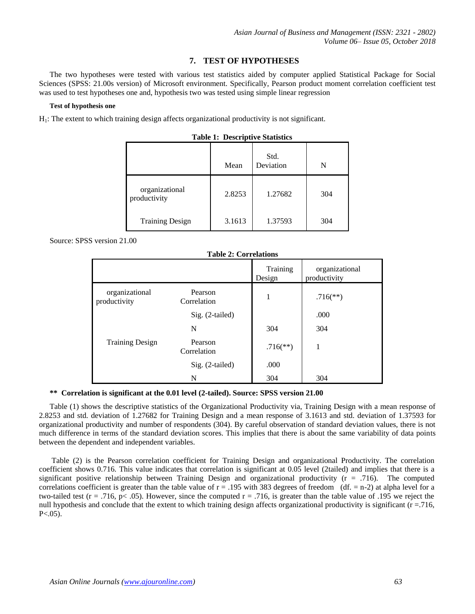## **7. TEST OF HYPOTHESES**

The two hypotheses were tested with various test statistics aided by computer applied Statistical Package for Social Sciences (SPSS: 21.00s version) of Microsoft environment. Specifically, Pearson product moment correlation coefficient test was used to test hypotheses one and, hypothesis two was tested using simple linear regression

#### **Test of hypothesis one**

H<sub>1</sub>: The extent to which training design affects organizational productivity is not significant.

|                                | Mean   | Std.<br>Deviation | N   |
|--------------------------------|--------|-------------------|-----|
| organizational<br>productivity | 2.8253 | 1.27682           | 304 |
| <b>Training Design</b>         | 3.1613 | 1.37593           | 304 |

|  | <b>Table 1: Descriptive Statistics</b> |  |
|--|----------------------------------------|--|
|--|----------------------------------------|--|

Source: SPSS version 21.00

| Table 2: Correlations          |                        |                        |                                |  |
|--------------------------------|------------------------|------------------------|--------------------------------|--|
|                                |                        | Training<br>Design     | organizational<br>productivity |  |
| organizational<br>productivity | Pearson<br>Correlation | 1                      | $.716$ <sup>**</sup> )         |  |
|                                | $Sig. (2-tailed)$      |                        | .000                           |  |
|                                | N                      | 304                    | 304                            |  |
| <b>Training Design</b>         | Pearson<br>Correlation | $.716$ <sup>**</sup> ) |                                |  |
|                                | Sig. (2-tailed)        | .000                   |                                |  |
|                                | N                      | 304                    | 304                            |  |

#### **Table 2: Correlations**

#### **\*\* Correlation is significant at the 0.01 level (2-tailed). Source: SPSS version 21.00**

Table (1) shows the descriptive statistics of the Organizational Productivity via, Training Design with a mean response of 2.8253 and std. deviation of 1.27682 for Training Design and a mean response of 3.1613 and std. deviation of 1.37593 for organizational productivity and number of respondents (304). By careful observation of standard deviation values, there is not much difference in terms of the standard deviation scores. This implies that there is about the same variability of data points between the dependent and independent variables.

Table (2) is the Pearson correlation coefficient for Training Design and organizational Productivity. The correlation coefficient shows 0.716. This value indicates that correlation is significant at 0.05 level (2tailed) and implies that there is a significant positive relationship between Training Design and organizational productivity  $(r = .716)$ . The computed correlations coefficient is greater than the table value of  $r = .195$  with 383 degrees of freedom (df. = n-2) at alpha level for a two-tailed test ( $r = .716$ ,  $p < .05$ ). However, since the computed  $r = .716$ , is greater than the table value of .195 we reject the null hypothesis and conclude that the extent to which training design affects organizational productivity is significant  $(r = .716$ ,  $P < 0.05$ ).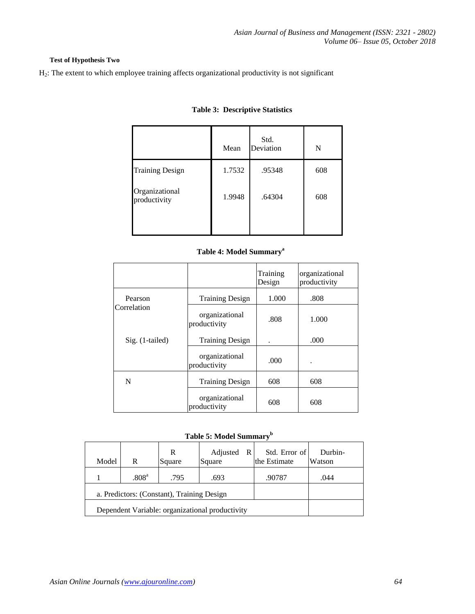## **Test of Hypothesis Two**

H2: The extent to which employee training affects organizational productivity is not significant

|                                | Mean   | Std.<br>Deviation | N   |
|--------------------------------|--------|-------------------|-----|
| <b>Training Design</b>         | 1.7532 | .95348            | 608 |
| Organizational<br>productivity | 1.9948 | .64304            | 608 |

## **Table 3: Descriptive Statistics**

## **Table 4: Model Summary<sup>a</sup>**

|                 |                                | Training<br>Design | organizational<br>productivity |
|-----------------|--------------------------------|--------------------|--------------------------------|
| Pearson         | <b>Training Design</b>         | 1.000              | .808                           |
| Correlation     | organizational<br>productivity | .808               | 1.000                          |
| Sig. (1-tailed) | <b>Training Design</b>         |                    | .000                           |
|                 | organizational<br>productivity | .000               | ٠                              |
| N               | <b>Training Design</b>         | 608                | 608                            |
|                 | organizational<br>productivity | 608                | 608                            |

## **Table 5: Model Summary<sup>b</sup>**

| Model                                           | R                 | R<br>Square | Adjusted<br>Square | -R I | Std. Error of<br>the Estimate | Durbin-<br>Watson |
|-------------------------------------------------|-------------------|-------------|--------------------|------|-------------------------------|-------------------|
|                                                 | .808 <sup>a</sup> | .795        | .693               |      | .90787                        | .044              |
| a. Predictors: (Constant), Training Design      |                   |             |                    |      |                               |                   |
| Dependent Variable: organizational productivity |                   |             |                    |      |                               |                   |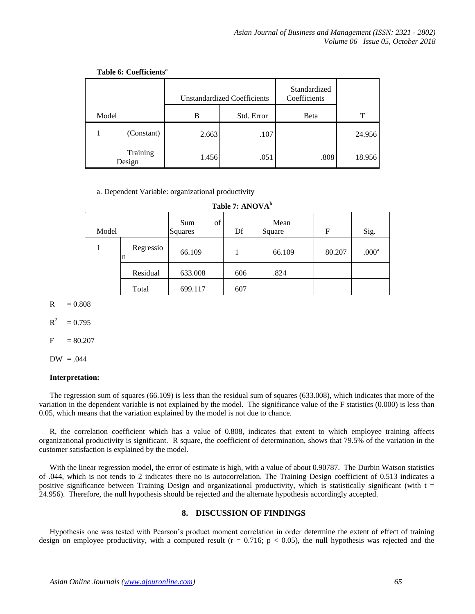|       |                    | <b>Unstandardized Coefficients</b> |      | Standardized<br>Coefficients |        |
|-------|--------------------|------------------------------------|------|------------------------------|--------|
| Model |                    | Std. Error<br>В                    |      | <b>B</b> eta                 | T      |
|       | (Constant)         | 2.663                              | .107 |                              | 24.956 |
|       | Training<br>Design | 1.456                              | .051 | .808                         | 18.956 |

#### **Table 6: Coefficients<sup>a</sup>**

a. Dependent Variable: organizational productivity

|  | Table 7: ANOVA <sup>b</sup> |
|--|-----------------------------|
|--|-----------------------------|

| Model |                | of<br>Sum<br>Squares | Df  | Mean<br>Square | F      | Sig.              |
|-------|----------------|----------------------|-----|----------------|--------|-------------------|
|       | Regressio<br>n | 66.109               |     | 66.109         | 80.207 | .000 <sup>a</sup> |
|       | Residual       | 633.008              | 606 | .824           |        |                   |
|       | Total          | 699.117              | 607 |                |        |                   |

 $R = 0.808$ 

 $R^2$  $= 0.795$ 

$$
F\quad = 80.207
$$

 $DW = .044$ 

#### **Interpretation:**

The regression sum of squares (66.109) is less than the residual sum of squares (633.008), which indicates that more of the variation in the dependent variable is not explained by the model. The significance value of the F statistics (0.000) is less than 0.05, which means that the variation explained by the model is not due to chance.

R, the correlation coefficient which has a value of 0.808, indicates that extent to which employee training affects organizational productivity is significant. R square, the coefficient of determination, shows that 79.5% of the variation in the customer satisfaction is explained by the model.

With the linear regression model, the error of estimate is high, with a value of about 0.90787. The Durbin Watson statistics of .044, which is not tends to 2 indicates there no is autocorrelation. The Training Design coefficient of 0.513 indicates a positive significance between Training Design and organizational productivity, which is statistically significant (with  $t =$ 24.956). Therefore, the null hypothesis should be rejected and the alternate hypothesis accordingly accepted.

#### **8. DISCUSSION OF FINDINGS**

Hypothesis one was tested with Pearson's product moment correlation in order determine the extent of effect of training design on employee productivity, with a computed result  $(r = 0.716; p < 0.05)$ , the null hypothesis was rejected and the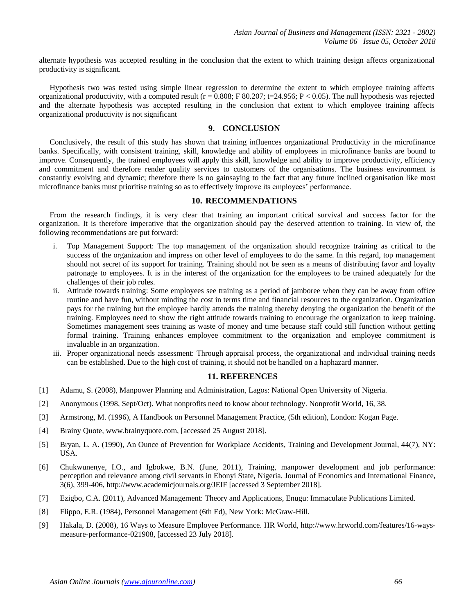alternate hypothesis was accepted resulting in the conclusion that the extent to which training design affects organizational productivity is significant.

Hypothesis two was tested using simple linear regression to determine the extent to which employee training affects organizational productivity, with a computed result ( $r = 0.808$ ; F 80.207; t=24.956; P < 0.05). The null hypothesis was rejected and the alternate hypothesis was accepted resulting in the conclusion that extent to which employee training affects organizational productivity is not significant

## **9. CONCLUSION**

Conclusively, the result of this study has shown that training influences organizational Productivity in the microfinance banks. Specifically, with consistent training, skill, knowledge and ability of employees in microfinance banks are bound to improve. Consequently, the trained employees will apply this skill, knowledge and ability to improve productivity, efficiency and commitment and therefore render quality services to customers of the organisations. The business environment is constantly evolving and dynamic; therefore there is no gainsaying to the fact that any future inclined organisation like most microfinance banks must prioritise training so as to effectively improve its employees' performance.

#### **10. RECOMMENDATIONS**

From the research findings, it is very clear that training an important critical survival and success factor for the organization. It is therefore imperative that the organization should pay the deserved attention to training. In view of, the following recommendations are put forward:

- i. Top Management Support: The top management of the organization should recognize training as critical to the success of the organization and impress on other level of employees to do the same. In this regard, top management should not secret of its support for training. Training should not be seen as a means of distributing favor and loyalty patronage to employees. It is in the interest of the organization for the employees to be trained adequately for the challenges of their job roles.
- ii. Attitude towards training: Some employees see training as a period of jamboree when they can be away from office routine and have fun, without minding the cost in terms time and financial resources to the organization. Organization pays for the training but the employee hardly attends the training thereby denying the organization the benefit of the training. Employees need to show the right attitude towards training to encourage the organization to keep training. Sometimes management sees training as waste of money and time because staff could still function without getting formal training. Training enhances employee commitment to the organization and employee commitment is invaluable in an organization.
- iii. Proper organizational needs assessment: Through appraisal process, the organizational and individual training needs can be established. Due to the high cost of training, it should not be handled on a haphazard manner.

#### **11. REFERENCES**

- [1] Adamu, S. (2008), Manpower Planning and Administration, Lagos: National Open University of Nigeria.
- [2] Anonymous (1998, Sept/Oct). What nonprofits need to know about technology. Nonprofit World, 16, 38.
- [3] Armstrong, M. (1996), A Handbook on Personnel Management Practice, (5th edition), London: Kogan Page.
- [4] Brainy Quote, www.brainyquote.com, [accessed 25 August 2018].
- [5] Bryan, L. A. (1990), An Ounce of Prevention for Workplace Accidents, Training and Development Journal, 44(7), NY: USA.
- [6] Chukwunenye, I.O., and Igbokwe, B.N. (June, 2011), Training, manpower development and job performance: perception and relevance among civil servants in Ebonyi State, Nigeria. Journal of Economics and International Finance, 3(6), 399-406, http://www.academicjournals.org/JEIF [accessed 3 September 2018].
- [7] Ezigbo, C.A. (2011), Advanced Management: Theory and Applications, Enugu: Immaculate Publications Limited.
- [8] Flippo, E.R. (1984), Personnel Management (6th Ed), New York: McGraw-Hill.
- [9] Hakala, D. (2008), 16 Ways to Measure Employee Performance. HR World, http://www.hrworld.com/features/16-waysmeasure-performance-021908, [accessed 23 July 2018].